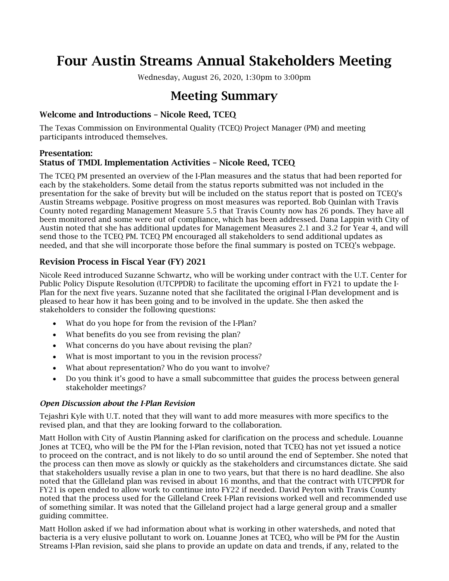# Four Austin Streams Annual Stakeholders Meeting

Wednesday, August 26, 2020, 1:30pm to 3:00pm

## Meeting Summary

## Welcome and Introductions – Nicole Reed, TCEQ

The Texas Commission on Environmental Quality (TCEQ) Project Manager (PM) and meeting participants introduced themselves.

#### Presentation: Status of TMDL Implementation Activities – Nicole Reed, TCEQ

The TCEQ PM presented an overview of the I-Plan measures and the status that had been reported for each by the stakeholders. Some detail from the status reports submitted was not included in the presentation for the sake of brevity but will be included on the status report that is posted on TCEQ's Austin Streams webpage. Positive progress on most measures was reported. Bob Quinlan with Travis County noted regarding Management Measure 5.5 that Travis County now has 26 ponds. They have all been monitored and some were out of compliance, which has been addressed. Dana Lappin with City of Austin noted that she has additional updates for Management Measures 2.1 and 3.2 for Year 4, and will send those to the TCEQ PM. TCEQ PM encouraged all stakeholders to send additional updates as needed, and that she will incorporate those before the final summary is posted on TCEQ's webpage.

## Revision Process in Fiscal Year (FY) 2021

Nicole Reed introduced Suzanne Schwartz, who will be working under contract with the U.T. Center for Public Policy Dispute Resolution (UTCPPDR) to facilitate the upcoming effort in FY21 to update the I-Plan for the next five years. Suzanne noted that she facilitated the original I-Plan development and is pleased to hear how it has been going and to be involved in the update. She then asked the stakeholders to consider the following questions:

- What do you hope for from the revision of the I-Plan?
- What benefits do you see from revising the plan?
- What concerns do you have about revising the plan?
- What is most important to you in the revision process?
- What about representation? Who do you want to involve?
- Do you think it's good to have a small subcommittee that guides the process between general stakeholder meetings?

### *Open Discussion about the I-Plan Revision*

Tejashri Kyle with U.T. noted that they will want to add more measures with more specifics to the revised plan, and that they are looking forward to the collaboration.

Matt Hollon with City of Austin Planning asked for clarification on the process and schedule. Louanne Jones at TCEQ, who will be the PM for the I-Plan revision, noted that TCEQ has not yet issued a notice to proceed on the contract, and is not likely to do so until around the end of September. She noted that the process can then move as slowly or quickly as the stakeholders and circumstances dictate. She said that stakeholders usually revise a plan in one to two years, but that there is no hard deadline. She also noted that the Gilleland plan was revised in about 16 months, and that the contract with UTCPPDR for FY21 is open ended to allow work to continue into FY22 if needed. David Peyton with Travis County noted that the process used for the Gilleland Creek I-Plan revisions worked well and recommended use of something similar. It was noted that the Gilleland project had a large general group and a smaller guiding committee.

Matt Hollon asked if we had information about what is working in other watersheds, and noted that bacteria is a very elusive pollutant to work on. Louanne Jones at TCEQ, who will be PM for the Austin Streams I-Plan revision, said she plans to provide an update on data and trends, if any, related to the